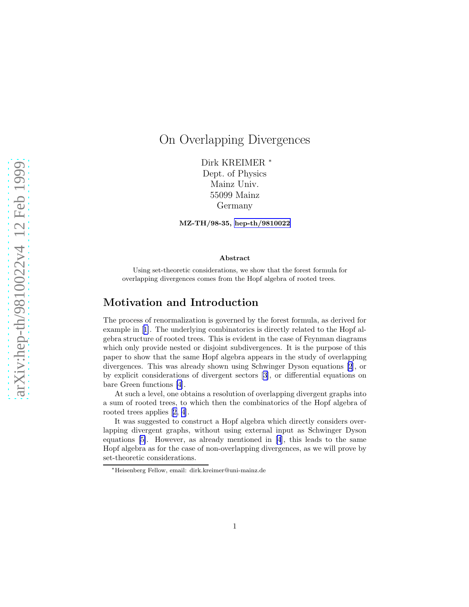# On Overlapping Divergences

Dirk KREIMER <sup>∗</sup> Dept. of Physics Mainz Univ. 55099 Mainz Germany

MZ-TH/98-35, [hep-th/9810022](http://arxiv.org/abs/hep-th/9810022)

#### Abstract

Using set-theoretic considerations, we show that the forest formula for overlapping divergences comes from the Hopf algebra of rooted trees.

## Motivation and Introduction

The process of renormalization is governed by the forest formula, as derived for example in[[1\]](#page-23-0). The underlying combinatorics is directly related to the Hopf algebra structure of rooted trees. This is evident in the case of Feynman diagrams which only provide nested or disjoint subdivergences. It is the purpose of this paper to show that the same Hopf algebra appears in the study of overlapping divergences. This was already shown using Schwinger Dyson equations [\[2](#page-24-0)], or by explicit considerations of divergent sectors[[3\]](#page-24-0), or differential equations on bare Green functions [\[4](#page-24-0)].

At such a level, one obtains a resolution of overlapping divergent graphs into a sum of rooted trees, to which then the combinatorics of the Hopf algebra of rooted trees applies[[2, 4](#page-24-0)].

It was suggested to construct a Hopf algebra which directly considers overlapping divergent graphs, without using external input as Schwinger Dyson equations [\[5\]](#page-24-0). However, as already mentioned in [\[4](#page-24-0)], this leads to the same Hopf algebra as for the case of non-overlapping divergences, as we will prove by set-theoretic considerations.

<sup>∗</sup>Heisenberg Fellow, email: dirk.kreimer@uni-mainz.de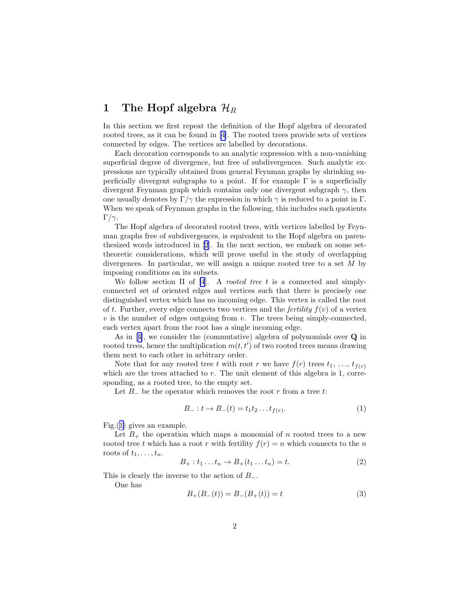## 1 The Hopf algebra  $\mathcal{H}_R$

In this section we first repeat the definition of the Hopf algebra of decorated rooted trees, as it can be found in[[4\]](#page-24-0). The rooted trees provide sets of vertices connected by edges. The vertices are labelled by decorations.

Each decoration corresponds to an analytic expression with a non-vanishing superficial degree of divergence, but free of subdivergences. Such analytic expressions are typically obtained from general Feynman graphs by shrinking superficially divergent subgraphs to a point. If for example  $\Gamma$  is a superficially divergent Feynman graph which contains only one divergent subgraph  $\gamma$ , then one usually denotes by  $\Gamma/\gamma$  the expression in which  $\gamma$  is reduced to a point in  $\Gamma$ . When we speak of Feynman graphs in the following, this includes such quotients  $\Gamma/\gamma$ .

The Hopf algebra of decorated rooted trees, with vertices labelled by Feynman graphs free of subdivergences, is equivalent to the Hopf algebra on parenthesized words introduced in [\[2](#page-24-0)]. In the next section, we embark on some settheoretic considerations, which will prove useful in the study of overlapping divergences. In particular, we will assign a unique rooted tree to a set  $M$  by imposing conditions on its subsets.

We follow section II of  $[4]$ . A *rooted tree t* is a connected and simplyconnected set of oriented edges and vertices such that there is precisely one distinguished vertex which has no incoming edge. This vertex is called the root of t. Further, every edge connects two vertices and the *fertility*  $f(v)$  of a vertex  $v$  is the number of edges outgoing from  $v$ . The trees being simply-connected, each vertex apart from the root has a single incoming edge.

As in[[4\]](#page-24-0), we consider the (commutative) algebra of polynomials over Q in rooted trees, hence the multiplication  $m(t, t')$  of two rooted trees means drawing them next to each other in arbitrary order.

Note that for any rooted tree t with root r we have  $f(r)$  trees  $t_1, \ldots, t_{f(r)}$ which are the trees attached to  $r$ . The unit element of this algebra is 1, corresponding, as a rooted tree, to the empty set.

Let  $B_$  be the operator which removes the root r from a tree t:

$$
B_-: t \to B_-(t) = t_1 t_2 \dots t_{f(r)}.
$$
 (1)

Fig.([1\)](#page-2-0) gives an example.

Let  $B_+$  the operation which maps a monomial of n rooted trees to a new rooted tree t which has a root r with fertility  $f(r) = n$  which connects to the n roots of  $t_1, \ldots, t_n$ .

$$
B_{+}: t_{1} \dots t_{n} \to B_{+}(t_{1} \dots t_{n}) = t. \tag{2}
$$

This is clearly the inverse to the action of  $B_-\$ .

One has

$$
B_{+}(B_{-}(t)) = B_{-}(B_{+}(t)) = t \tag{3}
$$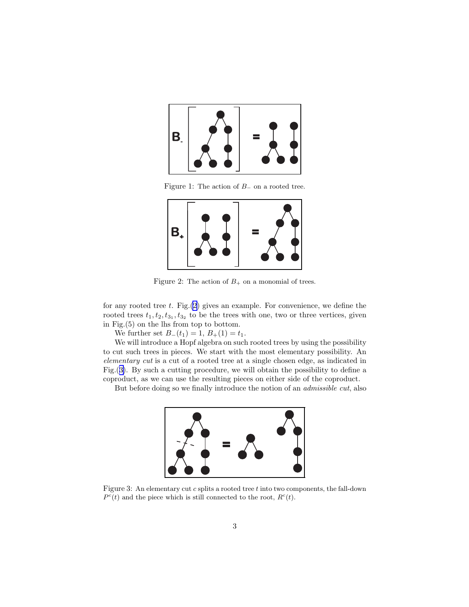<span id="page-2-0"></span>

Figure 1: The action of B<sup>−</sup> on a rooted tree.



Figure 2: The action of  $B_+$  on a monomial of trees.

for any rooted tree  $t$ . Fig. $(2)$  gives an example. For convenience, we define the rooted trees  $t_1, t_2, t_{3_1}, t_{3_2}$  to be the trees with one, two or three vertices, given in Fig.(5) on the lhs from top to bottom.

We further set  $B_-(t_1) = 1, B_+(1) = t_1$ .

We will introduce a Hopf algebra on such rooted trees by using the possibility to cut such trees in pieces. We start with the most elementary possibility. An elementary cut is a cut of a rooted tree at a single chosen edge, as indicated in Fig.(3). By such a cutting procedure, we will obtain the possibility to define a coproduct, as we can use the resulting pieces on either side of the coproduct.

But before doing so we finally introduce the notion of an admissible cut, also



Figure 3: An elementary cut  $c$  splits a rooted tree  $t$  into two components, the fall-down  $P^{c}(t)$  and the piece which is still connected to the root,  $R^{c}(t)$ .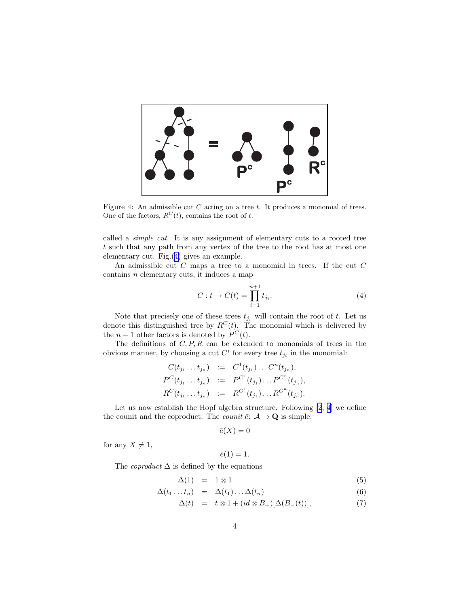

Figure 4: An admissible cut  $C$  acting on a tree  $t$ . It produces a monomial of trees. One of the factors,  $R^{C}(t)$ , contains the root of t.

called a simple cut. It is any assignment of elementary cuts to a rooted tree t such that any path from any vertex of the tree to the root has at most one elementary cut. Fig.(4) gives an example.

An admissible cut  $C$  maps a tree to a monomial in trees. If the cut  $C$ contains n elementary cuts, it induces a map

$$
C: t \to C(t) = \prod_{i=1}^{n+1} t_{j_i}.
$$
 (4)

Note that precisely one of these trees  $t_{j_i}$  will contain the root of t. Let us denote this distinguished tree by  $R^{C}(t)$ . The monomial which is delivered by the  $n-1$  other factors is denoted by  $P^{C}(t)$ .

The definitions of  $C, P, R$  can be extended to monomials of trees in the obvious manner, by choosing a cut  $C^i$  for every tree  $t_{j_i}$  in the monomial:

$$
C(t_{j_1} \ldots t_{j_n}) := C^1(t_{j_1}) \ldots C^n(t_{j_n}),
$$
  
\n
$$
P^C(t_{j_1} \ldots t_{j_n}) := P^{C^1}(t_{j_1}) \ldots P^{C^n}(t_{j_n}),
$$
  
\n
$$
R^C(t_{j_1} \ldots t_{j_n}) := R^{C^1}(t_{j_1}) \ldots R^{C^n}(t_{j_n}).
$$

Let us now establish the Hopf algebra structure. Following [\[2](#page-24-0), [4\]](#page-24-0) we define the counit and the coproduct. The *counit*  $\bar{e}$ :  $\mathcal{A} \rightarrow \mathbf{Q}$  is simple:

$$
\bar{e}(X)=0
$$

for any  $X \neq 1$ ,

$$
\bar{e}(1)=1.
$$

The *coproduct*  $\Delta$  is defined by the equations

$$
\Delta(1) = 1 \otimes 1 \tag{5}
$$

$$
\Delta(t_1 \ldots t_n) = \Delta(t_1) \ldots \Delta(t_n) \tag{6}
$$

$$
\Delta(t) = t \otimes 1 + (id \otimes B_+) [\Delta(B_-(t))], \tag{7}
$$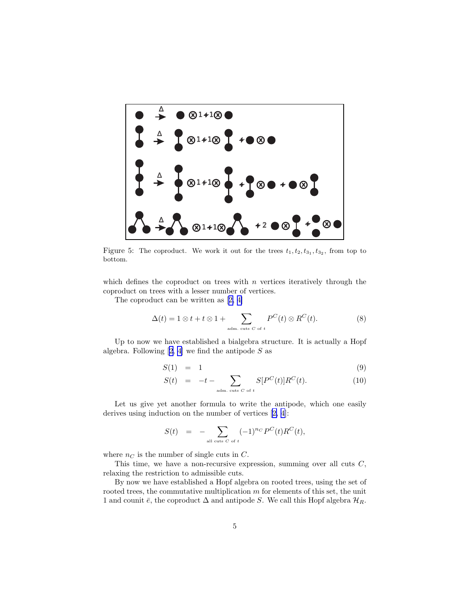

Figure 5: The coproduct. We work it out for the trees  $t_1, t_2, t_{3_1}, t_{3_2}$ , from top to bottom.

which defines the coproduct on trees with  $n$  vertices iteratively through the coproduct on trees with a lesser number of vertices.

The coproduct can be written as[[2, 4\]](#page-24-0)

$$
\Delta(t) = 1 \otimes t + t \otimes 1 + \sum_{\text{adm. cuts } C \text{ of } t} P^C(t) \otimes R^C(t). \tag{8}
$$

Up to now we have established a bialgebra structure. It is actually a Hopf algebra. Following  $[2, 4]$  we find the antipode S as

$$
S(1) = 1 \tag{9}
$$

$$
S(t) = -t - \sum_{\text{adm. cuts } C \text{ of } t} S[P^C(t)]R^C(t). \tag{10}
$$

Let us give yet another formula to write the antipode, which one easily derives using induction on the number of vertices[[2, 4\]](#page-24-0):

$$
S(t) = - \sum_{\text{all cuts } C \text{ of } t} (-1)^{n_C} P^C(t) R^C(t),
$$

where  $n<sub>C</sub>$  is the number of single cuts in C.

This time, we have a non-recursive expression, summing over all cuts C, relaxing the restriction to admissible cuts.

By now we have established a Hopf algebra on rooted trees, using the set of rooted trees, the commutative multiplication  $m$  for elements of this set, the unit 1 and counit  $\bar{e}$ , the coproduct  $\Delta$  and antipode S. We call this Hopf algebra  $\mathcal{H}_R$ .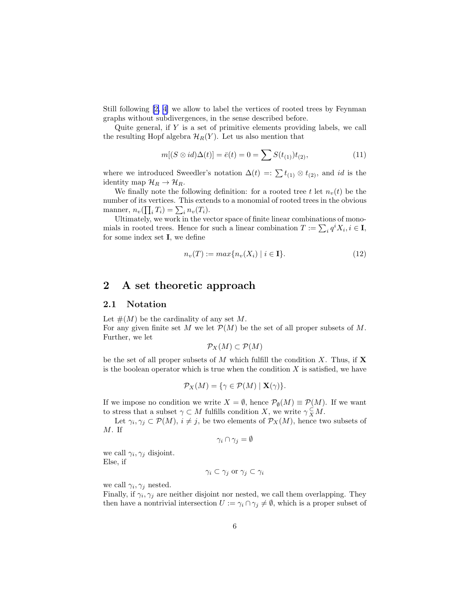<span id="page-5-0"></span>Still following [\[2, 4\]](#page-24-0) we allow to label the vertices of rooted trees by Feynman graphs without subdivergences, in the sense described before.

Quite general, if  $Y$  is a set of primitive elements providing labels, we call the resulting Hopf algebra  $\mathcal{H}_R(Y)$ . Let us also mention that

$$
m[(S \otimes id)\Delta(t)] = \bar{e}(t) = 0 = \sum S(t_{(1)})t_{(2)},
$$
\n(11)

where we introduced Sweedler's notation  $\Delta(t) =: \sum t_{(1)} \otimes t_{(2)}$ , and id is the identity map  $\mathcal{H}_R \to \mathcal{H}_R$ .

We finally note the following definition: for a rooted tree t let  $n_v(t)$  be the number of its vertices. This extends to a monomial of rooted trees in the obvious manner,  $n_v(\prod_i T_i) = \sum_i n_v(T_i)$ .

Ultimately, we work in the vector space of finite linear combinations of monomials in rooted trees. Hence for such a linear combination  $T := \sum_i q^i X_i, i \in I$ , for some index set I, we define

$$
n_v(T) := \max\{n_v(X_i) \mid i \in \mathbf{I}\}.
$$
\n<sup>(12)</sup>

## 2 A set theoretic approach

### 2.1 Notation

Let  $\#(M)$  be the cardinality of any set M. For any given finite set M we let  $\mathcal{P}(M)$  be the set of all proper subsets of M. Further, we let

$$
\mathcal{P}_X(M) \subset \mathcal{P}(M)
$$

be the set of all proper subsets of M which fulfill the condition X. Thus, if  $X$ is the boolean operator which is true when the condition  $X$  is satisfied, we have

$$
\mathcal{P}_X(M) = \{ \gamma \in \mathcal{P}(M) \mid \mathbf{X}(\gamma) \}.
$$

If we impose no condition we write  $X = \emptyset$ , hence  $\mathcal{P}_{\emptyset}(M) \equiv \mathcal{P}(M)$ . If we want to stress that a subset  $\gamma \subset M$  fulfills condition X, we write  $\gamma \subsetneq M$ .

Let  $\gamma_i, \gamma_j \subset \mathcal{P}(M), i \neq j$ , be two elements of  $\mathcal{P}_X(M)$ , hence two subsets of M. If

$$
\gamma_i \cap \gamma_j = \emptyset
$$

we call  $\gamma_i, \gamma_j$  disjoint. Else, if

$$
\gamma_i \subset \gamma_j \text{ or } \gamma_j \subset \gamma_i
$$

we call  $\gamma_i, \gamma_j$  nested.

Finally, if  $\gamma_i, \gamma_j$  are neither disjoint nor nested, we call them overlapping. They then have a nontrivial intersection  $U := \gamma_i \cap \gamma_j \neq \emptyset$ , which is a proper subset of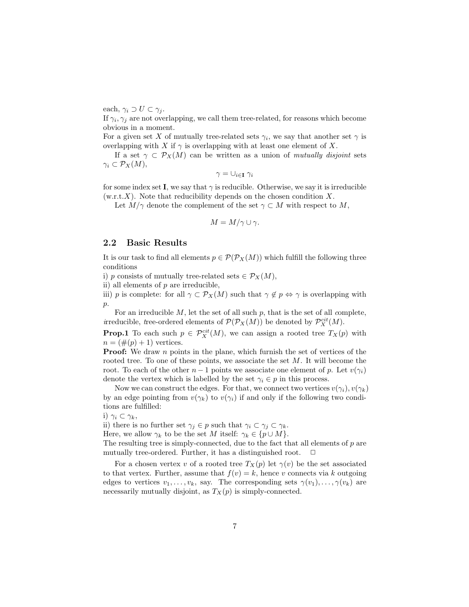each,  $\gamma_i \supset U \subset \gamma_j$ .

If  $\gamma_i, \gamma_j$  are not overlapping, we call them tree-related, for reasons which become obvious in a moment.

For a given set X of mutually tree-related sets  $\gamma_i$ , we say that another set  $\gamma$  is overlapping with X if  $\gamma$  is overlapping with at least one element of X.

If a set  $\gamma \subset \mathcal{P}_X(M)$  can be written as a union of mutually disjoint sets  $\gamma_i \subset \mathcal{P}_X(M)$ ,

$$
\gamma = \cup_{i \in \mathbf{I}} \; \gamma_i
$$

for some index set I, we say that  $\gamma$  is reducible. Otherwise, we say it is irreducible  $(w.r.t. X)$ . Note that reducibility depends on the chosen condition X.

Let  $M/\gamma$  denote the complement of the set  $\gamma \subset M$  with respect to M,

$$
M = M/\gamma \cup \gamma.
$$

### 2.2 Basic Results

It is our task to find all elements  $p \in \mathcal{P}(\mathcal{P}_X(M))$  which fulfill the following three conditions

i) p consists of mutually tree-related sets  $\in \mathcal{P}_X(M)$ ,

ii) all elements of p are irreducible,

iii) p is complete: for all  $\gamma \subset \mathcal{P}_X(M)$  such that  $\gamma \notin p \Leftrightarrow \gamma$  is overlapping with  $p$ .

For an irreducible  $M$ , let the set of all such  $p$ , that is the set of all complete, irreducible, tree-ordered elements of  $\mathcal{P}(\mathcal{P}_X(M))$  be denoted by  $\mathcal{P}_X^{cit}(M)$ .

**Prop.1** To each such  $p \in \mathcal{P}_X^{cit}(M)$ , we can assign a rooted tree  $T_X(p)$  with  $n = (\#(p) + 1)$  vertices.

**Proof:** We draw *n* points in the plane, which furnish the set of vertices of the rooted tree. To one of these points, we associate the set  $M$ . It will become the root. To each of the other  $n-1$  points we associate one element of p. Let  $v(\gamma_i)$ denote the vertex which is labelled by the set  $\gamma_i \in p$  in this process.

Now we can construct the edges. For that, we connect two vertices  $v(\gamma_i)$ ,  $v(\gamma_k)$ by an edge pointing from  $v(\gamma_k)$  to  $v(\gamma_i)$  if and only if the following two conditions are fulfilled:

$$
i) \gamma_i \subset \gamma_k,
$$

ii) there is no further set  $\gamma_j \in p$  such that  $\gamma_i \subset \gamma_j \subset \gamma_k$ .

Here, we allow  $\gamma_k$  to be the set M itself:  $\gamma_k \in \{p \cup M\}.$ 

The resulting tree is simply-connected, due to the fact that all elements of  $p$  are mutually tree-ordered. Further, it has a distinguished root.

For a chosen vertex v of a rooted tree  $T_X(p)$  let  $\gamma(v)$  be the set associated to that vertex. Further, assume that  $f(v) = k$ , hence v connects via k outgoing edges to vertices  $v_1, \ldots, v_k$ , say. The corresponding sets  $\gamma(v_1), \ldots, \gamma(v_k)$  are necessarily mutually disjoint, as  $T_X(p)$  is simply-connected.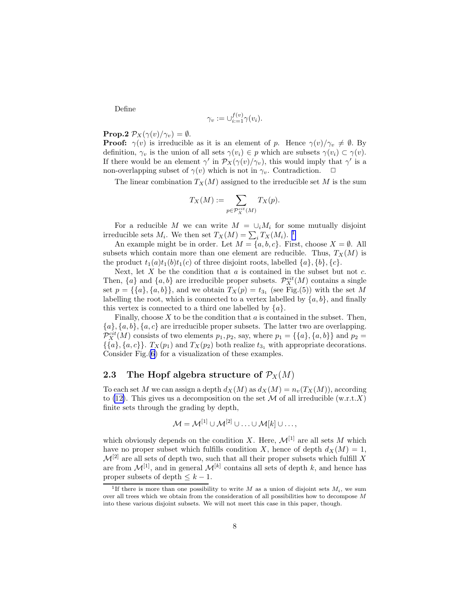Define

$$
\gamma_v := \cup_{i:=1}^{f(v)} \gamma(v_i).
$$

### **Prop.2**  $\mathcal{P}_X(\gamma(v)/\gamma_v) = \emptyset$ .

**Proof:**  $\gamma(v)$  is irreducible as it is an element of p. Hence  $\gamma(v)/\gamma_v \neq \emptyset$ . By definition,  $\gamma_v$  is the union of all sets  $\gamma(v_i) \in p$  which are subsets  $\gamma(v_i) \subset \gamma(v)$ . If there would be an element  $\gamma'$  in  $\mathcal{P}_X(\gamma(v)/\gamma_v)$ , this would imply that  $\gamma'$  is a non-overlapping subset of  $\gamma(v)$  which is not in  $\gamma_v$ . Contradiction.  $\Box$ 

The linear combination  $T_X(M)$  assigned to the irreducible set M is the sum

$$
T_X(M) := \sum_{p \in \mathcal{P}_X^{cit}(M)} T_X(p).
$$

For a reducible M we can write  $M = \bigcup_i M_i$  for some mutually disjoint irreducible sets  $M_i$ . We then set  $T_X(M) = \sum_i T_X(M_i)$ . <sup>1</sup>

An example might be in order. Let  $M = \{a, b, c\}$ . First, choose  $X = \emptyset$ . All subsets which contain more than one element are reducible. Thus,  $T_X(M)$  is the product  $t_1(a)t_1(b)t_1(c)$  of three disjoint roots, labelled  $\{a\}, \{b\}, \{c\}.$ 

Next, let  $X$  be the condition that  $a$  is contained in the subset but not  $c$ . Then,  $\{a\}$  and  $\{a, b\}$  are irreducible proper subsets.  $\mathcal{P}_X^{cit}(M)$  contains a single set  $p = \{\{a\}, \{a, b\}\}\$ , and we obtain  $T_X(p) = t_{3_1}$  (see Fig.(5)) with the set M labelling the root, which is connected to a vertex labelled by  $\{a, b\}$ , and finally this vertex is connected to a third one labelled by  $\{a\}.$ 

Finally, choose  $X$  to be the condition that  $a$  is contained in the subset. Then,  ${a}, {a}, {b}, {a}, {c}$  are irreducible proper subsets. The latter two are overlapping.  $\mathcal{P}_X^{cit}(M)$  consists of two elements  $p_1, p_2$ , say, where  $p_1 = \{\{a\}, \{a, b\}\}\$ and  $p_2 =$  $\{\{a\}, \{a, c\}\}\$ .  $T_X(p_1)$  and  $T_X(p_2)$  both realize  $t_{3_1}$  with appropriate decorations. Consider Fig.[\(6](#page-8-0)) for a visualization of these examples.

### 2.3 The Hopf algebra structure of  $\mathcal{P}_X(M)$

To each set M we can assign a depth  $d_X(M)$  as  $d_X(M) = n_v(T_X(M))$ , according to [\(12\)](#page-5-0). This gives us a decomposition on the set  $\mathcal M$  of all irreducible (w.r.t.X) finite sets through the grading by depth,

$$
\mathcal{M} = \mathcal{M}^{[1]} \cup \mathcal{M}^{[2]} \cup \ldots \cup \mathcal{M}[k] \cup \ldots,
$$

which obviously depends on the condition X. Here,  $\mathcal{M}^{[1]}$  are all sets M which have no proper subset which fulfills condition X, hence of depth  $d_X(M) = 1$ ,  $\mathcal{M}^{[2]}$  are all sets of depth two, such that all their proper subsets which fulfill X are from  $\mathcal{M}^{[1]}$ , and in general  $\mathcal{M}^{[k]}$  contains all sets of depth k, and hence has proper subsets of depth  $\leq k-1$ .

<sup>&</sup>lt;sup>1</sup>If there is more than one possibility to write M as a union of disjoint sets  $M_i$ , we sum over all trees which we obtain from the consideration of all possibilities how to decompose  $M$ into these various disjoint subsets. We will not meet this case in this paper, though.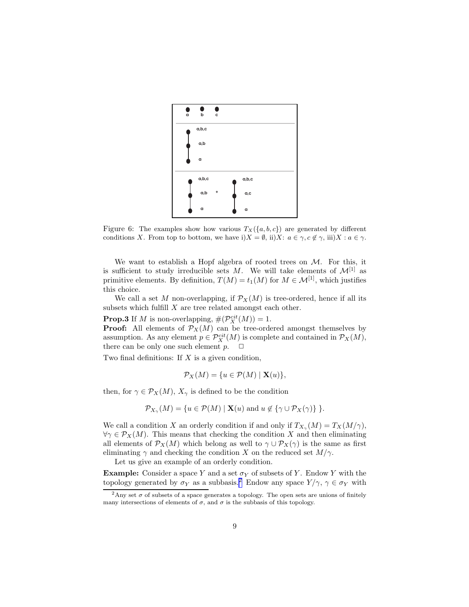<span id="page-8-0"></span>

Figure 6: The examples show how various  $T_X(\{a, b, c\})$  are generated by different conditions X. From top to bottom, we have i) $X = \emptyset$ , ii)X:  $a \in \gamma$ ,  $c \notin \gamma$ , iii)X:  $a \in \gamma$ .

We want to establish a Hopf algebra of rooted trees on  $M$ . For this, it is sufficient to study irreducible sets M. We will take elements of  $\mathcal{M}^{[1]}$  as primitive elements. By definition,  $T(M) = t_1(M)$  for  $M \in \mathcal{M}^{[1]}$ , which justifies this choice.

We call a set M non-overlapping, if  $\mathcal{P}_X(M)$  is tree-ordered, hence if all its subsets which fulfill  $X$  are tree related amongst each other.

**Prop.3** If M is non-overlapping,  $\#(\mathcal{P}_X^{cit}(M)) = 1$ .

**Proof:** All elements of  $\mathcal{P}_X(M)$  can be tree-ordered amongst themselves by assumption. As any element  $p \in \mathcal{P}_X^{cit}(M)$  is complete and contained in  $\mathcal{P}_X(M)$ , there can be only one such element  $p. \Box$ 

Two final definitions: If  $X$  is a given condition,

$$
\mathcal{P}_X(M) = \{ u \in \mathcal{P}(M) \mid \mathbf{X}(u) \},
$$

then, for  $\gamma \in \mathcal{P}_X(M)$ ,  $X_\gamma$  is defined to be the condition

$$
\mathcal{P}_{X_{\gamma}}(M) = \{ u \in \mathcal{P}(M) \mid \mathbf{X}(u) \text{ and } u \notin \{ \gamma \cup \mathcal{P}_X(\gamma) \} \}.
$$

We call a condition X an orderly condition if and only if  $T_{X_{\gamma}}(M) = T_X(M/\gamma)$ ,  $\forall \gamma \in \mathcal{P}_X(M)$ . This means that checking the condition X and then eliminating all elements of  $\mathcal{P}_X(M)$  which belong as well to  $\gamma \cup \mathcal{P}_X(\gamma)$  is the same as first eliminating  $\gamma$  and checking the condition X on the reduced set  $M/\gamma$ .

Let us give an example of an orderly condition.

**Example:** Consider a space Y and a set  $\sigma_Y$  of subsets of Y. Endow Y with the topology generated by  $\sigma_Y$  as a subbasis.<sup>2</sup> Endow any space  $Y/\gamma$ ,  $\gamma \in \sigma_Y$  with

<sup>&</sup>lt;sup>2</sup>Any set  $\sigma$  of subsets of a space generates a topology. The open sets are unions of finitely many intersections of elements of  $\sigma$ , and  $\sigma$  is the subbasis of this topology.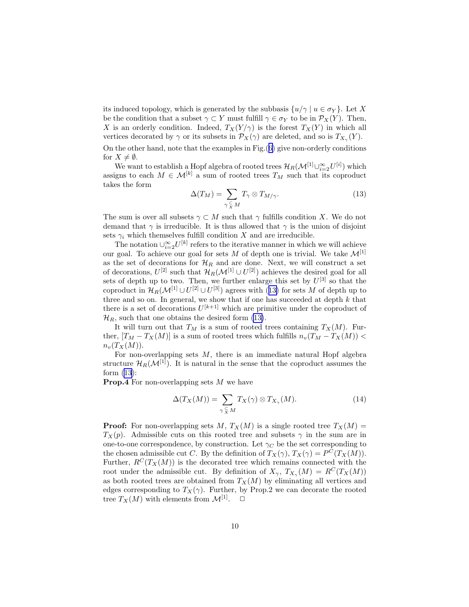<span id="page-9-0"></span>its induced topology, which is generated by the subbasis  $\{u/\gamma \mid u \in \sigma_Y\}$ . Let X be the condition that a subset  $\gamma \subset Y$  must fulfill  $\gamma \in \sigma_Y$  to be in  $\mathcal{P}_X(Y)$ . Then, X is an orderly condition. Indeed,  $T_X(Y/\gamma)$  is the forest  $T_X(Y)$  in which all vertices decorated by  $\gamma$  or its subsets in  $\mathcal{P}_X(\gamma)$  are deleted, and so is  $T_{X_\gamma}(Y)$ .

On the other hand, note that the examples in Fig.([6\)](#page-8-0) give non-orderly conditions for  $X \neq \emptyset$ .

We want to establish a Hopf algebra of rooted trees  $\mathcal{H}_R(\mathcal{M}^{[1]}\cup_{i=2}^{\infty}U^{[i]})$  which assigns to each  $M \in \mathcal{M}^{[k]}$  a sum of rooted trees  $T_M$  such that its coproduct takes the form

$$
\Delta(T_M) = \sum_{\gamma \subset N \atop \gamma \subset M} T_{\gamma} \otimes T_{M/\gamma}.
$$
 (13)

The sum is over all subsets  $\gamma \subset M$  such that  $\gamma$  fulfills condition X. We do not demand that  $\gamma$  is irreducible. It is thus allowed that  $\gamma$  is the union of disjoint sets  $\gamma_i$  which themselves fulfill condition X and are irreducible.

The notation  $\cup_{i=2}^{\infty} U^{[k]}$  refers to the iterative manner in which we will achieve our goal. To achieve our goal for sets M of depth one is trivial. We take  $\mathcal{M}^{[1]}$ as the set of decorations for  $\mathcal{H}_R$  and are done. Next, we will construct a set of decorations,  $U^{[2]}$  such that  $\mathcal{H}_R(\mathcal{M}^{[1]} \cup U^{[2]})$  achieves the desired goal for all sets of depth up to two. Then, we further enlarge this set by  $U^{[3]}$  so that the coproduct in  $\mathcal{H}_R(\mathcal{M}^{[1]}\cup U^{[2]}\cup U^{[3]})$  agrees with (13) for sets M of depth up to three and so on. In general, we show that if one has succeeded at depth  $k$  that there is a set of decorations  $U^{[k+1]}$  which are primitive under the coproduct of  $\mathcal{H}_R$ , such that one obtains the desired form (13).

It will turn out that  $T_M$  is a sum of rooted trees containing  $T_X(M)$ . Further,  $[T_M - T_X(M)]$  is a sum of rooted trees which fulfills  $n_v(T_M - T_X(M))$  $n_v(T_X(M)).$ 

For non-overlapping sets  $M$ , there is an immediate natural Hopf algebra structure  $\mathcal{H}_B(\mathcal{M}^{[1]})$ . It is natural in the sense that the coproduct assumes the form  $(13)$ :

**Prop.4** For non-overlapping sets  $M$  we have

$$
\Delta(T_X(M)) = \sum_{\gamma \subsetneq M} T_X(\gamma) \otimes T_{X_\gamma}(M). \tag{14}
$$

**Proof:** For non-overlapping sets M,  $T_X(M)$  is a single rooted tree  $T_X(M)$  =  $T_X(p)$ . Admissible cuts on this rooted tree and subsets  $\gamma$  in the sum are in one-to-one correspondence, by construction. Let  $\gamma_C$  be the set corresponding to the chosen admissible cut C. By the definition of  $T_X(\gamma)$ ,  $T_X(\gamma) = P^C(T_X(M))$ . Further,  $R^{C}(T_X(M))$  is the decorated tree which remains connected with the root under the admissible cut. By definition of  $X_{\gamma}$ ,  $T_{X_{\gamma}}(M) = R^{C}(T_{X}(M))$ as both rooted trees are obtained from  $T_X(M)$  by eliminating all vertices and edges corresponding to  $T_X(\gamma)$ . Further, by Prop.2 we can decorate the rooted tree  $T_X(M)$  with elements from  $\mathcal{M}^{[1]}$ .  $\Box$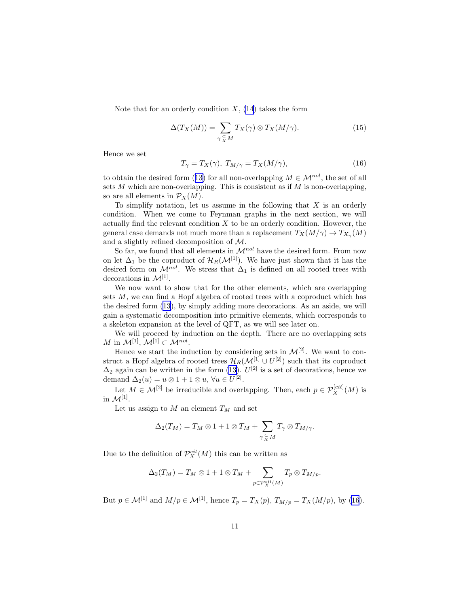Note that for an orderly condition  $X$ , [\(14](#page-9-0)) takes the form

$$
\Delta(T_X(M)) = \sum_{\gamma \subsetneq M} T_X(\gamma) \otimes T_X(M/\gamma). \tag{15}
$$

Hence we set

$$
T_{\gamma} = T_X(\gamma), \ T_{M/\gamma} = T_X(M/\gamma), \tag{16}
$$

toobtain the desired form ([13\)](#page-9-0) for all non-overlapping  $M \in \mathcal{M}^{nol}$ , the set of all sets  $M$  which are non-overlapping. This is consistent as if  $M$  is non-overlapping, so are all elements in  $\mathcal{P}_X(M)$ .

To simplify notation, let us assume in the following that  $X$  is an orderly condition. When we come to Feynman graphs in the next section, we will actually find the relevant condition  $X$  to be an orderly condition. However, the general case demands not much more than a replacement  $T_X(M/\gamma) \to T_{X_\gamma}(M)$ and a slightly refined decomposition of M.

So far, we found that all elements in  $\mathcal{M}^{nol}$  have the desired form. From now on let  $\Delta_1$  be the coproduct of  $\mathcal{H}_R(\mathcal{M}^{[1]})$ . We have just shown that it has the desired form on  $\mathcal{M}^{nol}$ . We stress that  $\Delta_1$  is defined on all rooted trees with decorations in  $\mathcal{M}^{[1]}$ .

We now want to show that for the other elements, which are overlapping sets M, we can find a Hopf algebra of rooted trees with a coproduct which has the desired form([13\)](#page-9-0), by simply adding more decorations. As an aside, we will gain a systematic decomposition into primitive elements, which corresponds to a skeleton expansion at the level of QFT, as we will see later on.

We will proceed by induction on the depth. There are no overlapping sets M in  $\mathcal{M}^{[1]}, \mathcal{M}^{[1]} \subset \mathcal{M}^{nol}$ .

Hence we start the induction by considering sets in  $\mathcal{M}^{[2]}$ . We want to construct a Hopf algebra of rooted trees  $\mathcal{H}_R(\mathcal{M}^{[1]} \cup U^{[2]})$  such that its coproduct  $\Delta_2$ again can be written in the form ([13\)](#page-9-0).  $U^{[2]}$  is a set of decorations, hence we demand  $\Delta_2(u) = u \otimes 1 + 1 \otimes u$ ,  $\forall u \in U^{[2]}$ .

Let  $M \in \mathcal{M}^{[2]}$  be irreducible and overlapping. Then, each  $p \in \mathcal{P}_X^{[cit]}(M)$  is in  $\mathcal{M}^{[1]}$ .

Let us assign to  $M$  an element  $T_M$  and set

$$
\Delta_2(T_M) = T_M \otimes 1 + 1 \otimes T_M + \sum_{\gamma \subset M \atop \gamma \subset M} T_\gamma \otimes T_{M/\gamma}.
$$

Due to the definition of  $\mathcal{P}_X^{cit}(M)$  this can be written as

$$
\Delta_2(T_M) = T_M \otimes 1 + 1 \otimes T_M + \sum_{p \in \mathcal{P}_X^{cit}(M)} T_p \otimes T_{M/p}.
$$

But  $p \in \mathcal{M}^{[1]}$  and  $M/p \in \mathcal{M}^{[1]}$ , hence  $T_p = T_X(p)$ ,  $T_{M/p} = T_X(M/p)$ , by (16).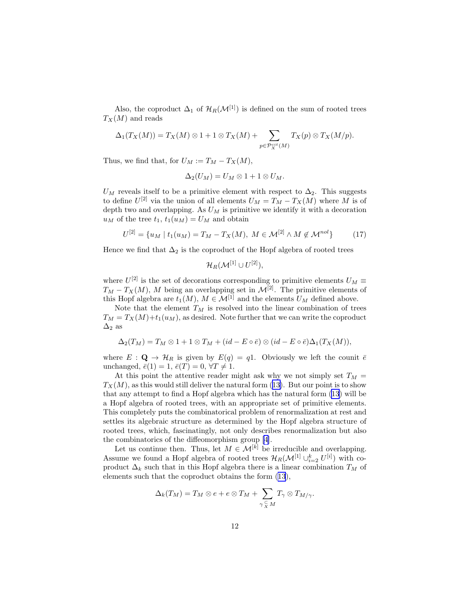<span id="page-11-0"></span>Also, the coproduct  $\Delta_1$  of  $\mathcal{H}_R(\mathcal{M}^{[1]})$  is defined on the sum of rooted trees  $T_X(M)$  and reads

$$
\Delta_1(T_X(M)) = T_X(M) \otimes 1 + 1 \otimes T_X(M) + \sum_{p \in \mathcal{P}_X^{cit}(M)} T_X(p) \otimes T_X(M/p).
$$

Thus, we find that, for  $U_M := T_M - T_X(M)$ ,

$$
\Delta_2(U_M)=U_M\otimes 1+1\otimes U_M.
$$

 $U_M$  reveals itself to be a primitive element with respect to  $\Delta_2$ . This suggests to define  $U^{[2]}$  via the union of all elements  $U_M = T_M - T_X(M)$  where M is of depth two and overlapping. As  $U_M$  is primitive we identify it with a decoration  $u_M$  of the tree  $t_1$ ,  $t_1(u_M) = U_M$  and obtain

$$
U^{[2]} = \{u_M \mid t_1(u_M) = T_M - T_X(M), \ M \in \mathcal{M}^{[2]} \land M \notin \mathcal{M}^{nol}\}\tag{17}
$$

Hence we find that  $\Delta_2$  is the coproduct of the Hopf algebra of rooted trees

$$
\mathcal{H}_R(\mathcal{M}^{[1]}\cup U^{[2]}),
$$

where  $U^{[2]}$  is the set of decorations corresponding to primitive elements  $U_M \equiv$  $T_M - T_X(M)$ , M being an overlapping set in  $\mathcal{M}^{[2]}$ . The primitive elements of this Hopf algebra are  $t_1(M)$ ,  $M \in \mathcal{M}^{[\tilde{1}]}$  and the elements  $U_M$  defined above.

Note that the element  $T_M$  is resolved into the linear combination of trees  $T_M = T_X(M) + t_1(u_M)$ , as desired. Note further that we can write the coproduct  $\Delta_2$  as

$$
\Delta_2(T_M) = T_M \otimes 1 + 1 \otimes T_M + (id - E \circ \bar{e}) \otimes (id - E \circ \bar{e}) \Delta_1(T_X(M)),
$$

where  $E: \mathbf{Q} \to \mathcal{H}_R$  is given by  $E(q) = q1$ . Obviously we left the counit  $\bar{e}$ unchanged,  $\bar{e}(1) = 1$ ,  $\bar{e}(T) = 0$ ,  $\forall T \neq 1$ .

At this point the attentive reader might ask why we not simply set  $T_M =$  $T_X(M)$ ,as this would still deliver the natural form ([13\)](#page-9-0). But our point is to show that any attempt to find a Hopf algebra which has the natural form [\(13](#page-9-0)) will be a Hopf algebra of rooted trees, with an appropriate set of primitive elements. This completely puts the combinatorical problem of renormalization at rest and settles its algebraic structure as determined by the Hopf algebra structure of rooted trees, which, fascinatingly, not only describes renormalization but also the combinatorics of the diffeomorphism group[[4](#page-24-0)].

Let us continue then. Thus, let  $M \in \mathcal{M}^{[k]}$  be irreducible and overlapping. Assume we found a Hopf algebra of rooted trees  $\mathcal{H}_R(\mathcal{M}^{[1]}\cup_{i=2}^k U^{[i]})$  with coproduct  $\Delta_k$  such that in this Hopf algebra there is a linear combination  $T_M$  of elements such that the coproduct obtains the form [\(13](#page-9-0)),

$$
\Delta_k(T_M) = T_M \otimes e + e \otimes T_M + \sum_{\gamma \subsetneq M} T_{\gamma} \otimes T_{M/\gamma}.
$$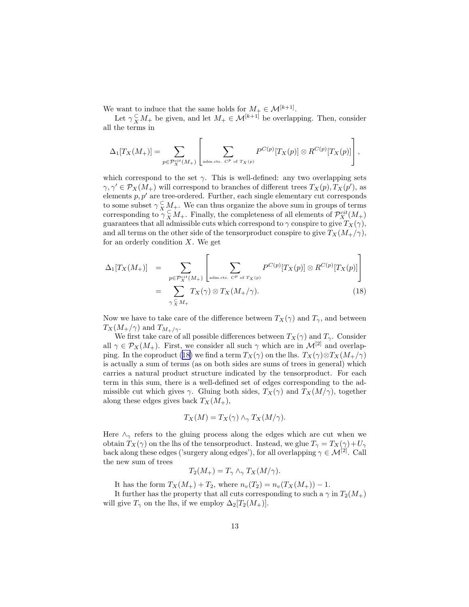We want to induce that the same holds for  $M_+ \in \mathcal{M}^{[k+1]}$ .

=

Let  $\gamma_X^{\subset} M_+$  be given, and let  $M_+ \in \mathcal{M}^{[k+1]}$  be overlapping. Then, consider all the terms in

$$
\Delta_1[T_X(M_+)] = \sum_{p \in \mathcal{P}_X^{cit}(M_+)} \left[ \sum_{\text{adm.cts. } C^p \text{ of } T_X(p)} P^{C(p)}[T_X(p)] \otimes R^{C(p)}[T_X(p)] \right],
$$

which correspond to the set  $\gamma$ . This is well-defined: any two overlapping sets  $\gamma, \gamma' \in \mathcal{P}_X(M_+)$  will correspond to branches of different trees  $T_X(p), T_X(p')$ , as elements  $p, p'$  are tree-ordered. Further, each single elementary cut corresponds to some subset  $\gamma \in M_+$ . We can thus organize the above sum in groups of terms corresponding to  $\gamma_X^C M_+$ . Finally, the completeness of all elements of  $\mathcal{P}_X^{cit}(M_+)$ guarantees that all admissible cuts which correspond to  $\gamma$  conspire to give  $T_X(\gamma)$ , and all terms on the other side of the tensorproduct conspire to give  $T_X(M_+/\gamma)$ , for an orderly condition  $X$ . We get

$$
\Delta_1[T_X(M_+)] = \sum_{p \in \mathcal{P}_X^{cit}(M_+)} \left[ \sum_{\text{adm.cts. } C^p \text{ of } T_X(p)} P^{C(p)}[T_X(p)] \otimes R^{C(p)}[T_X(p)] \right]
$$

$$
= \sum_{\gamma \subsetneq M_+} T_X(\gamma) \otimes T_X(M_+/\gamma). \tag{18}
$$

Now we have to take care of the difference between  $T_X(\gamma)$  and  $T_\gamma$ , and between  $T_X(M_+/\gamma)$  and  $T_{M_+/\gamma}$ .

We first take care of all possible differences between  $T_X(\gamma)$  and  $T_\gamma$ . Consider all  $\gamma \in \mathcal{P}_X(M_+)$ . First, we consider all such  $\gamma$  which are in  $\mathcal{M}^{[2]}$  and overlapping. In the coproduct (18) we find a term  $T_X(\gamma)$  on the lhs.  $T_X(\gamma) \otimes T_X(M_+/\gamma)$ is actually a sum of terms (as on both sides are sums of trees in general) which carries a natural product structure indicated by the tensorproduct. For each term in this sum, there is a well-defined set of edges corresponding to the admissible cut which gives  $\gamma$ . Gluing both sides,  $T_X(\gamma)$  and  $T_X(M/\gamma)$ , together along these edges gives back  $T_X(M_+),$ 

$$
T_X(M) = T_X(\gamma) \wedge_{\gamma} T_X(M/\gamma).
$$

Here  $\wedge_{\gamma}$  refers to the gluing process along the edges which are cut when we obtain  $T_X(\gamma)$  on the lhs of the tensorproduct. Instead, we glue  $T_\gamma = T_X(\gamma) + U_\gamma$ back along these edges ('surgery along edges'), for all overlapping  $\gamma \in \mathcal{M}^{[2]}$ . Call the new sum of trees

$$
T_2(M_+) = T_\gamma \wedge_\gamma T_X(M/\gamma).
$$

It has the form  $T_X(M_+) + T_2$ , where  $n_v(T_2) = n_v(T_X(M_+)) - 1$ .

It further has the property that all cuts corresponding to such a  $\gamma$  in  $T_2(M_+)$ will give  $T_{\gamma}$  on the lhs, if we employ  $\Delta_2[T_2(M_+)]$ .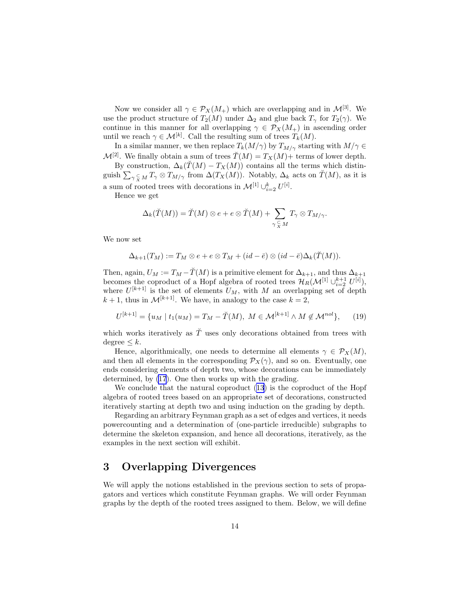Now we consider all  $\gamma \in \mathcal{P}_X(M_+)$  which are overlapping and in  $\mathcal{M}^{[3]}$ . We use the product structure of  $T_2(M)$  under  $\Delta_2$  and glue back  $T_\gamma$  for  $T_2(\gamma)$ . We continue in this manner for all overlapping  $\gamma \in \mathcal{P}_X(M_+)$  in ascending order until we reach  $\gamma \in \mathcal{M}^{[k]}$ . Call the resulting sum of trees  $T_k(M)$ .

In a similar manner, we then replace  $T_k(M/\gamma)$  by  $T_{M/\gamma}$  starting with  $M/\gamma \in$  $\mathcal{M}^{[2]}$ . We finally obtain a sum of trees  $\tilde{T}(M) = T_X(M) +$  terms of lower depth.

By construction,  $\Delta_k(T(M) - T_X(M))$  contains all the terms which distinguish  $\sum_{\gamma \subsetneq M} T_{\gamma} \otimes T_{M/\gamma}$  from  $\Delta(T_X(M))$ . Notably,  $\Delta_k$  acts on  $\check{T}(M)$ , as it is a sum of rooted trees with decorations in  $\mathcal{M}^{[1]} \cup_{i=2}^{k} U^{[i]}$ .

Hence we get

$$
\Delta_k(\breve{T}(M)) = \breve{T}(M) \otimes e + e \otimes \breve{T}(M) + \sum_{\gamma \subsetneq M} T_{\gamma} \otimes T_{M/\gamma}.
$$

We now set

$$
\Delta_{k+1}(T_M) := T_M \otimes e + e \otimes T_M + (id - \overline{e}) \otimes (id - \overline{e}) \Delta_k(\overline{T}(M)).
$$

Then, again,  $U_M := T_M - \check{T}(M)$  is a primitive element for  $\Delta_{k+1}$ , and thus  $\Delta_{k+1}$ becomes the coproduct of a Hopf algebra of rooted trees  $\mathcal{H}_R(\mathcal{M}^{[1]}\cup_{i=2}^{k+1} U^{[i]}),$ where  $U^{[k+1]}$  is the set of elements  $U_M$ , with M an overlapping set of depth  $k+1$ , thus in  $\mathcal{M}^{[k+1]}$ . We have, in analogy to the case  $k=2$ ,

$$
U^{[k+1]} = \{u_M \mid t_1(u_M) = T_M - \check{T}(M), \ M \in \mathcal{M}^{[k+1]} \land M \notin \mathcal{M}^{nol}\},\tag{19}
$$

which works iteratively as  $\check{T}$  uses only decorations obtained from trees with degree  $\leq k$ .

Hence, algorithmically, one needs to determine all elements  $\gamma \in \mathcal{P}_X(M)$ , and then all elements in the corresponding  $\mathcal{P}_X(\gamma)$ , and so on. Eventually, one ends considering elements of depth two, whose decorations can be immediately determined, by [\(17](#page-11-0)). One then works up with the grading.

We conclude that the natural coproduct([13\)](#page-9-0) is the coproduct of the Hopf algebra of rooted trees based on an appropriate set of decorations, constructed iteratively starting at depth two and using induction on the grading by depth.

Regarding an arbitrary Feynman graph as a set of edges and vertices, it needs powercounting and a determination of (one-particle irreducible) subgraphs to determine the skeleton expansion, and hence all decorations, iteratively, as the examples in the next section will exhibit.

## 3 Overlapping Divergences

We will apply the notions established in the previous section to sets of propagators and vertices which constitute Feynman graphs. We will order Feynman graphs by the depth of the rooted trees assigned to them. Below, we will define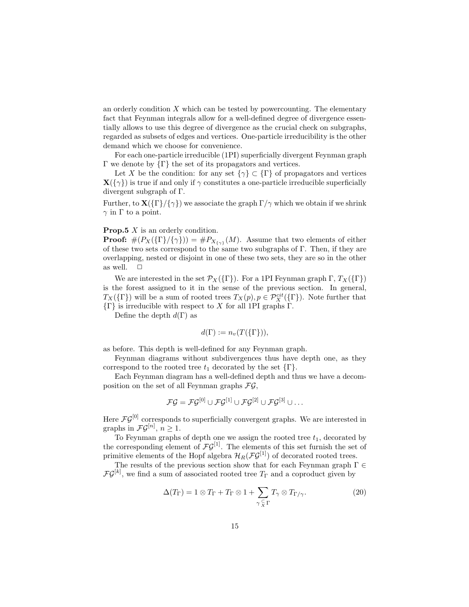<span id="page-14-0"></span>an orderly condition  $X$  which can be tested by powercounting. The elementary fact that Feynman integrals allow for a well-defined degree of divergence essentially allows to use this degree of divergence as the crucial check on subgraphs, regarded as subsets of edges and vertices. One-particle irreducibility is the other demand which we choose for convenience.

For each one-particle irreducible (1PI) superficially divergent Feynman graph Γ we denote by  $\{\Gamma\}$  the set of its propagators and vertices.

Let X be the condition: for any set  $\{\gamma\} \subset {\Gamma}$  of propagators and vertices  $\mathbf{X}(\{\gamma\})$  is true if and only if  $\gamma$  constitutes a one-particle irreducible superficially divergent subgraph of Γ.

Further, to  $\mathbf{X}(\{\Gamma\}/\{\gamma\})$  we associate the graph  $\Gamma/\gamma$  which we obtain if we shrink  $\gamma$  in  $\Gamma$  to a point.

#### **Prop.5** X is an orderly condition.

**Proof:**  $\#(P_X(\{\Gamma\}/\{\gamma\})) = \#P_{X_{\{\gamma\}}}(M)$ . Assume that two elements of either of these two sets correspond to the same two subgraphs of Γ. Then, if they are overlapping, nested or disjoint in one of these two sets, they are so in the other as well.  $\square$ 

We are interested in the set  $\mathcal{P}_X(\{\Gamma\})$ . For a 1PI Feynman graph  $\Gamma, T_X(\{\Gamma\})$ is the forest assigned to it in the sense of the previous section. In general,  $T_X(\{\Gamma\})$  will be a sum of rooted trees  $T_X(p), p \in \mathcal{P}_X^{cit}(\{\Gamma\})$ . Note further that  $\{\Gamma\}$  is irreducible with respect to X for all 1PI graphs  $\Gamma$ .

Define the depth  $d(\Gamma)$  as

$$
d(\Gamma) := n_v(T(\{\Gamma\})),
$$

as before. This depth is well-defined for any Feynman graph.

Feynman diagrams without subdivergences thus have depth one, as they correspond to the rooted tree  $t_1$  decorated by the set  $\{\Gamma\}.$ 

Each Feynman diagram has a well-defined depth and thus we have a decomposition on the set of all Feynman graphs  $\mathcal{FG}$ ,

$$
\mathcal{FG}=\mathcal{FG}^{[0]}\cup\mathcal{FG}^{[1]}\cup\mathcal{FG}^{[2]}\cup\mathcal{FG}^{[3]}\cup\ldots
$$

Here  $\mathcal{FG}^{[0]}$  corresponds to superficially convergent graphs. We are interested in graphs in  $\mathcal{FG}^{[n]}$ ,  $n \geq 1$ .

To Feynman graphs of depth one we assign the rooted tree  $t_1$ , decorated by the corresponding element of  $\mathcal{F}\mathcal{G}^{[1]}$ . The elements of this set furnish the set of primitive elements of the Hopf algebra  $\mathcal{H}_R(\mathcal{FG}^{[1]})$  of decorated rooted trees.

The results of the previous section show that for each Feynman graph  $\Gamma \in$  $\mathcal{FG}^{[k]}$ , we find a sum of associated rooted tree  $T_{\Gamma}$  and a coproduct given by

$$
\Delta(T_{\Gamma}) = 1 \otimes T_{\Gamma} + T_{\Gamma} \otimes 1 + \sum_{\gamma \subset \Gamma} T_{\gamma} \otimes T_{\Gamma/\gamma}.
$$
 (20)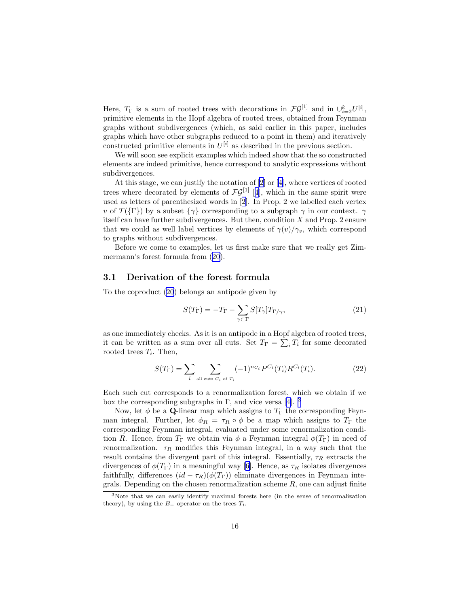<span id="page-15-0"></span>Here,  $T_{\Gamma}$  is a sum of rooted trees with decorations in  $\mathcal{FG}^{[1]}$  and in  $\cup_{i=2}^{k} U^{[i]}$ , primitive elements in the Hopf algebra of rooted trees, obtained from Feynman graphs without subdivergences (which, as said earlier in this paper, includes graphs which have other subgraphs reduced to a point in them) and iteratively constructed primitive elements in  $U^{[i]}$  as described in the previous section.

We will soon see explicit examples which indeed show that the so constructed elements are indeed primitive, hence correspond to analytic expressions without subdivergences.

At this stage, we can justify the notation of [\[2](#page-24-0)] or[[4\]](#page-24-0), where vertices of rooted trees where decorated by elements of  $\mathcal{FG}^{[1]}$  [[4\]](#page-24-0), which in the same spirit were used as letters of parenthesized words in[[2\]](#page-24-0). In Prop. 2 we labelled each vertex v of  $T({\{\Gamma\}})$  by a subset  ${\{\gamma\}}$  corresponding to a subgraph  $\gamma$  in our context.  $\gamma$ itself can have further subdivergences. But then, condition X and Prop. 2 ensure that we could as well label vertices by elements of  $\gamma(v)/\gamma_v$ , which correspond to graphs without subdivergences.

Before we come to examples, let us first make sure that we really get Zimmermann's forest formula from [\(20](#page-14-0)).

### 3.1 Derivation of the forest formula

To the coproduct [\(20](#page-14-0)) belongs an antipode given by

$$
S(T_{\Gamma}) = -T_{\Gamma} - \sum_{\gamma \subset \Gamma} S[T_{\gamma}] T_{\Gamma/\gamma}, \qquad (21)
$$

as one immediately checks. As it is an antipode in a Hopf algebra of rooted trees, it can be written as a sum over all cuts. Set  $T_{\Gamma} = \sum_i T_i$  for some decorated rooted trees  $T_i$ . Then,

$$
S(T_{\Gamma}) = \sum_{i} \sum_{\text{all cuts } C_i \text{ of } T_i} (-1)^{n_{C_i}} P^{C_i}(T_i) R^{C_i}(T_i). \tag{22}
$$

Each such cut corresponds to a renormalization forest, which we obtain if we box the corresponding subgraphs in Γ, and vice versa [\[4](#page-24-0)]. <sup>3</sup>

Now, let  $\phi$  be a Q-linear map which assigns to  $T_{\Gamma}$  the corresponding Feynman integral. Further, let  $\phi_R = \tau_R \circ \phi$  be a map which assigns to  $T_{\Gamma}$  the corresponding Feynman integral, evaluated under some renormalization condition R. Hence, from  $T_{\Gamma}$  we obtain via  $\phi$  a Feynman integral  $\phi(T_{\Gamma})$  in need of renormalization.  $\tau_R$  modifies this Feynman integral, in a way such that the result contains the divergent part of this integral. Essentially,  $\tau_R$  extracts the divergencesof  $\phi(T_{\Gamma})$  in a meaningful way [[6\]](#page-24-0). Hence, as  $\tau_R$  isolates divergences faithfully, differences  $(id - \tau_R)(\phi(T_\Gamma))$  eliminate divergences in Feynman integrals. Depending on the chosen renormalization scheme  $R$ , one can adjust finite

<sup>3</sup>Note that we can easily identify maximal forests here (in the sense of renormalization theory), by using the  $B_-\$  operator on the trees  $T_i$ .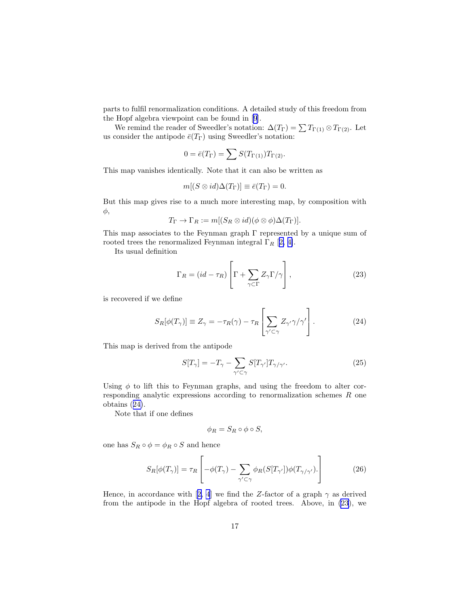parts to fulfil renormalization conditions. A detailed study of this freedom from the Hopf algebra viewpoint can be found in[[9\]](#page-24-0).

We remind the reader of Sweedler's notation:  $\Delta(T_{\Gamma}) = \sum T_{\Gamma(1)} \otimes T_{\Gamma(2)}$ . Let us consider the antipode  $\bar{e}(T_{\Gamma})$  using Sweedler's notation:

$$
0 = \bar{e}(T_{\Gamma}) = \sum S(T_{\Gamma(1)})T_{\Gamma(2)}.
$$

This map vanishes identically. Note that it can also be written as

$$
m[(S \otimes id)\Delta(T_{\Gamma})] \equiv \bar{e}(T_{\Gamma}) = 0.
$$

But this map gives rise to a much more interesting map, by composition with φ,

$$
T_{\Gamma} \to \Gamma_R := m[(S_R \otimes id)(\phi \otimes \phi) \Delta(T_{\Gamma})].
$$

This map associates to the Feynman graph  $\Gamma$  represented by a unique sum of rooted trees the renormalized Feynman integral  $\Gamma_R$  [[2, 4\]](#page-24-0).

Its usual definition

$$
\Gamma_R = (id - \tau_R) \left[ \Gamma + \sum_{\gamma \subset \Gamma} Z_{\gamma} \Gamma / \gamma \right],
$$
\n(23)

is recovered if we define

$$
S_R[\phi(T_\gamma)] \equiv Z_\gamma = -\tau_R(\gamma) - \tau_R \left[ \sum_{\gamma' \subset \gamma} Z_{\gamma'} \gamma / \gamma' \right]. \tag{24}
$$

This map is derived from the antipode

$$
S[T_{\gamma}] = -T_{\gamma} - \sum_{\gamma' \subset \gamma} S[T_{\gamma'}] T_{\gamma/\gamma'}.
$$
\n(25)

Using  $\phi$  to lift this to Feynman graphs, and using the freedom to alter corresponding analytic expressions according to renormalization schemes R one obtains (24).

Note that if one defines

$$
\phi_R = S_R \circ \phi \circ S,
$$

one has  $S_R \circ \phi = \phi_R \circ S$  and hence

$$
S_R[\phi(T_\gamma)] = \tau_R \left[ -\phi(T_\gamma) - \sum_{\gamma' \subset \gamma} \phi_R(S[T_{\gamma'}])\phi(T_{\gamma/\gamma'}). \right]
$$
(26)

Hence,in accordance with [[2, 4](#page-24-0)] we find the Z-factor of a graph  $\gamma$  as derived from the antipode in the Hopf algebra of rooted trees. Above, in (23), we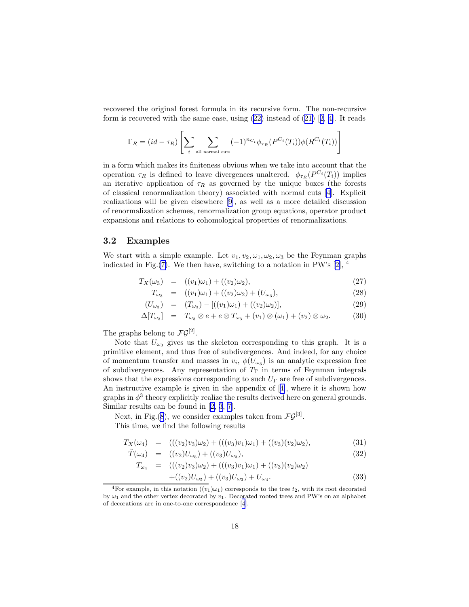recovered the original forest formula in its recursive form. The non-recursive formis recovered with the same ease, using  $(22)$  $(22)$  $(22)$  instead of  $(21)$  $(21)$   $[2, 4]$  $[2, 4]$  $[2, 4]$  $[2, 4]$ . It reads

$$
\Gamma_R = (id - \tau_R) \left[ \sum_i \sum_{\text{all normal cuts}} (-1)^{n_{C_i}} \phi_{\tau_R}(P^{C_i}(T_i)) \phi(R^{C_i}(T_i)) \right]
$$

in a form which makes its finiteness obvious when we take into account that the operation  $\tau_R$  is defined to leave divergences unaltered.  $\phi_{\tau_R}(P^{C_i}(T_i))$  implies an iterative application of  $\tau_R$  as governed by the unique boxes (the forests of classical renormalization theory) associated with normal cuts [\[4\]](#page-24-0). Explicit realizations will be given elsewhere [\[9](#page-24-0)], as well as a more detailed discussion of renormalization schemes, renormalization group equations, operator product expansions and relations to cohomological properties of renormalizations.

### 3.2 Examples

We start with a simple example. Let  $v_1, v_2, \omega_1, \omega_2, \omega_3$  be the Feynman graphs indicatedin Fig. $(7)$ . We then have, switching to a notation in PW's [[2\]](#page-24-0), <sup>4</sup>

$$
T_X(\omega_3) = ((v_1)\omega_1) + ((v_2)\omega_2), \tag{27}
$$

$$
T_{\omega_3} = ((v_1)\omega_1) + ((v_2)\omega_2) + (U_{\omega_3}), \tag{28}
$$

$$
(U_{\omega_3}) = (T_{\omega_3}) - [((v_1)\omega_1) + ((v_2)\omega_2)], \qquad (29)
$$

$$
\Delta[T_{\omega_3}] = T_{\omega_3} \otimes e + e \otimes T_{\omega_3} + (v_1) \otimes (\omega_1) + (v_2) \otimes \omega_2. \tag{30}
$$

The graphs belong to  $\mathcal{FG}^{[2]}$ .

Note that  $U_{\omega_3}$  gives us the skeleton corresponding to this graph. It is a primitive element, and thus free of subdivergences. And indeed, for any choice of momentum transfer and masses in  $v_i$ ,  $\phi(U_{\omega_3})$  is an analytic expression free of subdivergences. Any representation of  $T_{\Gamma}$  in terms of Feynman integrals shows that the expressions corresponding to such  $U_{\Gamma}$  are free of subdivergences. An instructive example is given in the appendix of[[4\]](#page-24-0), where it is shown how graphs in  $\phi^3$  theory explicitly realize the results derived here on general grounds. Similar results can be found in[[2, 3, 7](#page-24-0)].

Next, in Fig.[\(8](#page-18-0)), we consider examples taken from  $\mathcal{FG}^{[3]}$ .

This time, we find the following results

$$
T_X(\omega_4) = (((v_2)v_3)\omega_2) + (((v_3)v_1)\omega_1) + ((v_3)(v_2)\omega_2), \tag{31}
$$

$$
\tilde{T}(\omega_4) = ((v_2)U_{\omega_5}) + ((v_3)U_{\omega_3}),
$$
\n(32)

$$
T_{\omega_4} = (((w_2)v_3)\omega_2) + (((v_3)v_1)\omega_1) + ((v_3)(v_2)\omega_2) + ((v_2)U_{\omega_5}) + ((v_3)U_{\omega_3}) + U_{\omega_4}.
$$
 (33)

<sup>&</sup>lt;sup>4</sup>For example, in this notation  $((v_1)\omega_1)$  corresponds to the tree  $t_2$ , with its root decorated by  $\omega_1$  and the other vertex decorated by  $v_1$ . Decorated rooted trees and PW's on an alphabet of decorations are in one-to-one correspondence [\[4](#page-24-0)].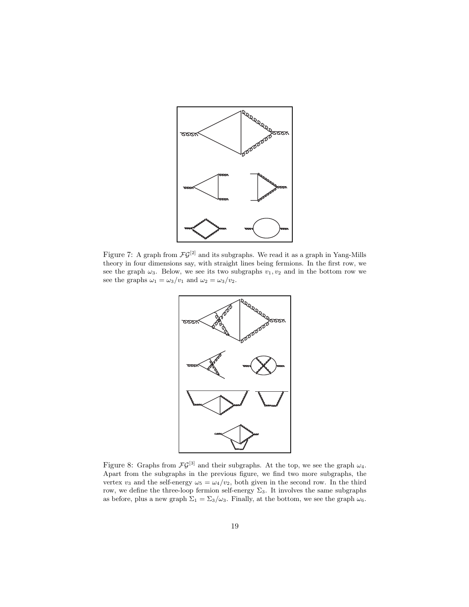<span id="page-18-0"></span>

Figure 7: A graph from  $\mathcal{F}\mathcal{G}^{[2]}$  and its subgraphs. We read it as a graph in Yang-Mills theory in four dimensions say, with straight lines being fermions. In the first row, we see the graph  $\omega_3$ . Below, we see its two subgraphs  $v_1, v_2$  and in the bottom row we see the graphs  $\omega_1 = \omega_3/v_1$  and  $\omega_2 = \omega_3/v_2$ .



Figure 8: Graphs from  $\mathcal{F}\mathcal{G}^{[3]}$  and their subgraphs. At the top, we see the graph  $\omega_4$ . Apart from the subgraphs in the previous figure, we find two more subgraphs, the vertex  $v_3$  and the self-energy  $\omega_5 = \omega_4/v_2$ , both given in the second row. In the third row, we define the three-loop fermion self-energy  $\Sigma_3$ . It involves the same subgraphs as before, plus a new graph  $\Sigma_1 = \Sigma_3/\omega_3$ . Finally, at the bottom, we see the graph  $\omega_6$ .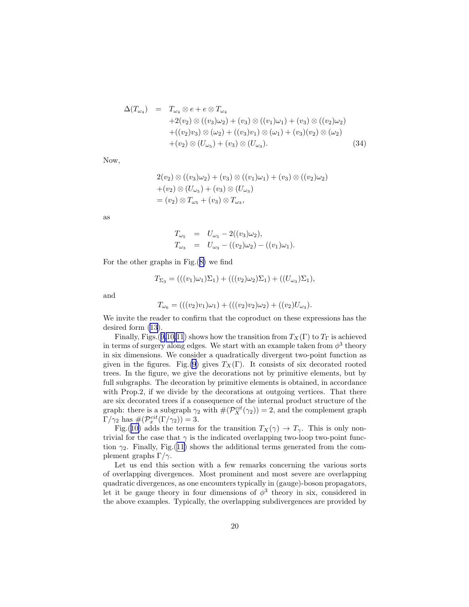$$
\Delta(T_{\omega_4}) = T_{\omega_4} \otimes e + e \otimes T_{\omega_4}
$$
  
+2(v<sub>2</sub>) \otimes ((v<sub>3</sub>)\omega<sub>2</sub>) + (v<sub>3</sub>) \otimes ((v<sub>1</sub>)\omega<sub>1</sub>) + (v<sub>3</sub>) \otimes ((v<sub>2</sub>)\omega<sub>2</sub>)  
+((v<sub>2</sub>)v<sub>3</sub>) \otimes (\omega<sub>2</sub>) + ((v<sub>3</sub>)v<sub>1</sub>) \otimes (\omega<sub>1</sub>) + (v<sub>3</sub>)(v<sub>2</sub>) \otimes (\omega<sub>2</sub>)  
+ (v<sub>2</sub>) \otimes (U<sub>\omega\_5</sub>) + (v<sub>3</sub>) \otimes (U<sub>\omega\_3</sub>). (34)

Now,

$$
2(v_2) \otimes ((v_3)\omega_2) + (v_3) \otimes ((v_1)\omega_1) + (v_3) \otimes ((v_2)\omega_2)
$$
  
+ $(v_2) \otimes (U_{\omega_5}) + (v_3) \otimes (U_{\omega_3})$   
=  $(v_2) \otimes T_{\omega_5} + (v_3) \otimes T_{\omega_3}$ ,

as

$$
T_{\omega_5} = U_{\omega_5} - 2((v_3)\omega_2),
$$
  
\n
$$
T_{\omega_3} = U_{\omega_3} - ((v_2)\omega_2) - ((v_1)\omega_1).
$$

For the other graphs in Fig.([8\)](#page-18-0) we find

$$
T_{\Sigma_3} = (((v_1)\omega_1)\Sigma_1) + (((v_2)\omega_2)\Sigma_1) + ((U_{\omega_3})\Sigma_1),
$$

and

$$
T_{\omega_6} = (((v_2)v_1)\omega_1) + (((v_2)v_2)\omega_2) + ((v_2)U_{\omega_3}).
$$

We invite the reader to confirm that the coproduct on these expressions has the desired form([13](#page-9-0)).

Finally, Figs.([9](#page-20-0)[,10,](#page-21-0)[11](#page-22-0)) shows how the transition from  $T_X(\Gamma)$  to  $T_{\Gamma}$  is achieved in terms of surgery along edges. We start with an example taken from  $\phi^3$  theory in six dimensions. We consider a quadratically divergent two-point function as given in the figures. Fig.[\(9](#page-20-0)) gives  $T_X(\Gamma)$ . It consists of six decorated rooted trees. In the figure, we give the decorations not by primitive elements, but by full subgraphs. The decoration by primitive elements is obtained, in accordance with Prop.2, if we divide by the decorations at outgoing vertices. That there are six decorated trees if a consequence of the internal product structure of the graph: there is a subgraph  $\gamma_2$  with  $\#(\mathcal{P}_X^{cit}(\gamma_2))=2$ , and the complement graph  $\Gamma/\gamma_2$  has  $\#(\mathcal{P}_x^{cit}(\Gamma/\gamma_2))=3.$ 

Fig.([10\)](#page-21-0) adds the terms for the transition  $T_X(\gamma) \to T_\gamma$ . This is only nontrivial for the case that  $\gamma$  is the indicated overlapping two-loop two-point function  $\gamma_2$ . Finally, Fig.([11\)](#page-22-0) shows the additional terms generated from the complement graphs  $\Gamma/\gamma$ .

Let us end this section with a few remarks concerning the various sorts of overlapping divergences. Most prominent and most severe are overlapping quadratic divergences, as one encounters typically in (gauge)-boson propagators, let it be gauge theory in four dimensions of  $\phi^3$  theory in six, considered in the above examples. Typically, the overlapping subdivergences are provided by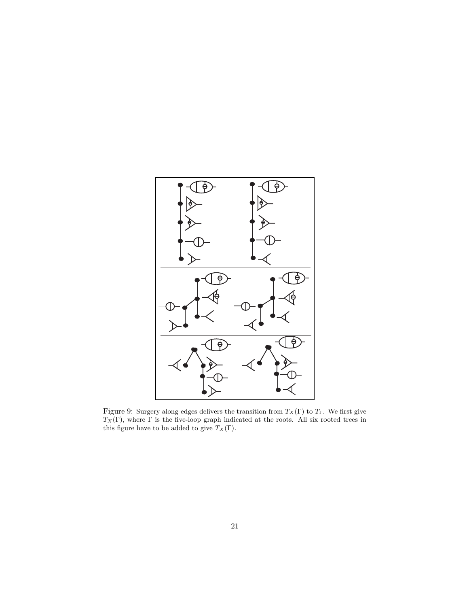<span id="page-20-0"></span>

Figure 9: Surgery along edges delivers the transition from  $T_X(\Gamma)$  to  $T_\Gamma$ . We first give  $T_X(\Gamma)$ , where  $\Gamma$  is the five-loop graph indicated at the roots. All six rooted trees in this figure have to be added to give  $T_X(\Gamma)$ .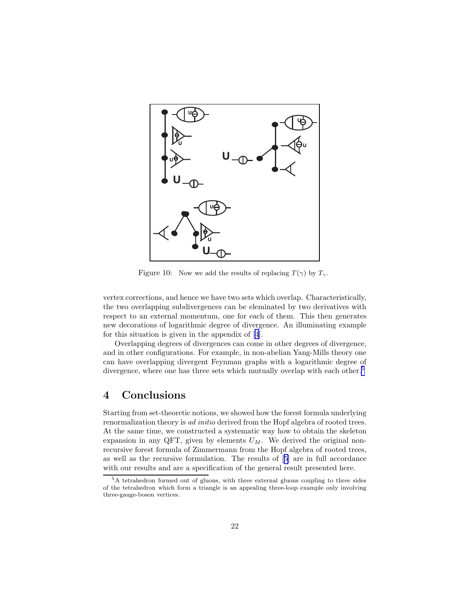<span id="page-21-0"></span>

Figure 10: Now we add the results of replacing  $T(\gamma)$  by  $T_{\gamma}$ .

vertex corrections, and hence we have two sets which overlap. Characteristically, the two overlapping subdivergences can be eleminated by two derivatives with respect to an external momentum, one for each of them. This then generates new decorations of logarithmic degree of divergence. An illuminating example for this situation is given in the appendix of [\[4](#page-24-0)].

Overlapping degrees of divergences can come in other degrees of divergence, and in other configurations. For example, in non-abelian Yang-Mills theory one can have overlapping divergent Feynman graphs with a logarithmic degree of divergence, where one has three sets which mutually overlap with each other.<sup>5</sup>

## 4 Conclusions

Starting from set-theoretic notions, we showed how the forest formula underlying renormalization theory is *ad initio* derived from the Hopf algebra of rooted trees. At the same time, we constructed a systematic way how to obtain the skeleton expansion in any QFT, given by elements  $U_M$ . We derived the original nonrecursive forest formula of Zimmermann from the Hopf algebra of rooted trees, as well as the recursive formulation. The results of[[5\]](#page-24-0) are in full accordance with our results and are a specification of the general result presented here.

<sup>5</sup>A tetrahedron formed out of gluons, with three external gluons coupling to three sides of the tetrahedron which form a triangle is an appealing three-loop example only involving three-gauge-boson vertices.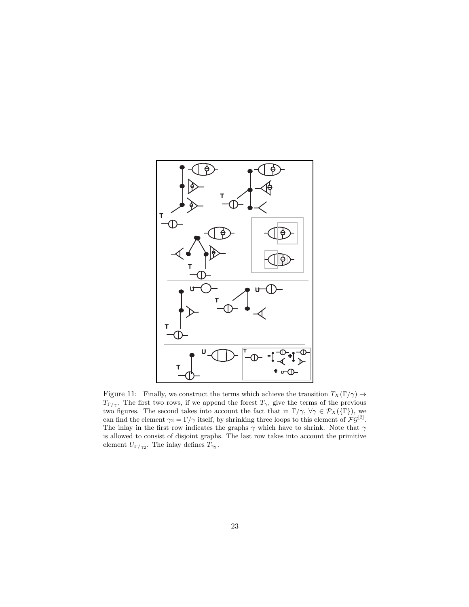<span id="page-22-0"></span>

Figure 11: Finally, we construct the terms which achieve the transition  $T_X(\Gamma/\gamma) \to$  $T_{\Gamma/\gamma}$ . The first two rows, if we append the forest  $T_{\gamma}$ , give the terms of the previous two figures. The second takes into account the fact that in  $\Gamma/\gamma$ ,  $\forall \gamma \in \mathcal{P}_X(\{\Gamma\})$ , we can find the element  $\gamma_2 = \Gamma/\gamma$  itself, by shrinking three loops to this element of  $\mathcal{F}\mathcal{G}^{[2]}$ . The inlay in the first row indicates the graphs  $\gamma$  which have to shrink. Note that  $\gamma$ is allowed to consist of disjoint graphs. The last row takes into account the primitive element  $U_{\Gamma/\gamma_2}$ . The inlay defines  $T_{\gamma_2}$ .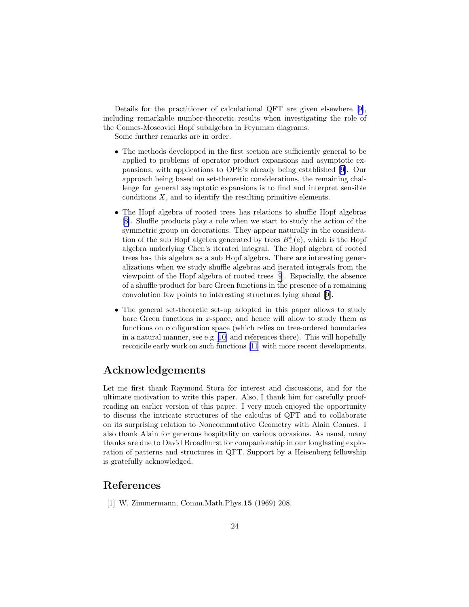<span id="page-23-0"></span>Details for the practitioner of calculational QFT are given elsewhere [[9\]](#page-24-0), including remarkable number-theoretic results when investigating the role of the Connes-Moscovici Hopf subalgebra in Feynman diagrams.

Some further remarks are in order.

- The methods developped in the first section are sufficiently general to be applied to problems of operator product expansions and asymptotic expansions, with applications to OPE's already being established[[9\]](#page-24-0). Our approach being based on set-theoretic considerations, the remaining challenge for general asymptotic expansions is to find and interpret sensible conditions  $X$ , and to identify the resulting primitive elements.
- The Hopf algebra of rooted trees has relations to shuffle Hopf algebras [\[8\]](#page-24-0). Shuffle products play a role when we start to study the action of the symmetric group on decorations. They appear naturally in the consideration of the sub Hopf algebra generated by trees  $B_{+}^{k}(e)$ , which is the Hopf algebra underlying Chen's iterated integral. The Hopf algebra of rooted trees has this algebra as a sub Hopf algebra. There are interesting generalizations when we study shuffle algebras and iterated integrals from the viewpoint of the Hopf algebra of rooted trees [\[9](#page-24-0)]. Especially, the absence of a shuffle product for bare Green functions in the presence of a remaining convolution law points to interesting structures lying ahead [\[9](#page-24-0)].
- The general set-theoretic set-up adopted in this paper allows to study bare Green functions in x-space, and hence will allow to study them as functions on configuration space (which relies on tree-ordered boundaries in a natural manner, see e.g.[[10\]](#page-24-0) and references there). This will hopefully reconcile early work on such functions[[11\]](#page-24-0) with more recent developments.

## Acknowledgements

Let me first thank Raymond Stora for interest and discussions, and for the ultimate motivation to write this paper. Also, I thank him for carefully proofreading an earlier version of this paper. I very much enjoyed the opportunity to discuss the intricate structures of the calculus of QFT and to collaborate on its surprising relation to Noncommutative Geometry with Alain Connes. I also thank Alain for generous hospitality on various occasions. As usual, many thanks are due to David Broadhurst for companionship in our longlasting exploration of patterns and structures in QFT. Support by a Heisenberg fellowship is gratefully acknowledged.

## References

[1] W. Zimmermann, Comm.Math.Phys.15 (1969) 208.